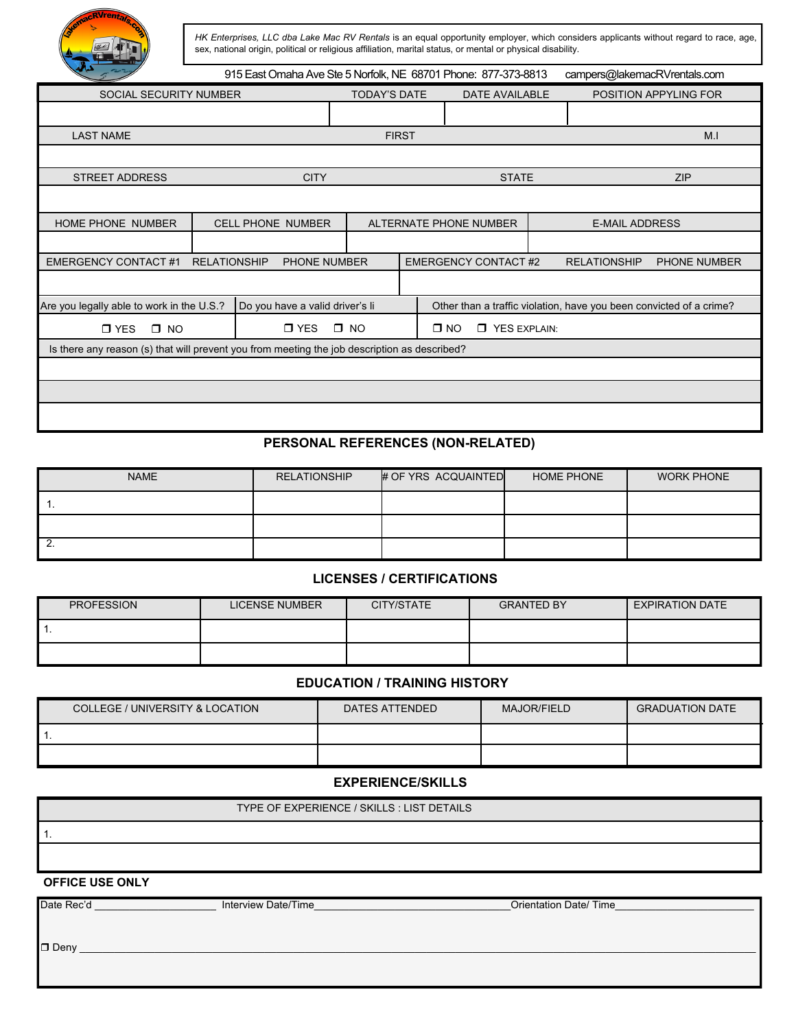

*HK Enterprises, LLC dba Lake Mac RV Rentals* is an equal opportunity employer, which considers applicants without regard to race, age, sex, national origin, political or religious affiliation, marital status, or mental or physical disability.

| تدائل                                                                                        | 915 East Omaha Ave Ste 5 Norfolk, NE 68701 Phone: 877-373-8813 |                          |                                                                     |                                       |  |                       |                       | campers@lakemacRVrentals.com |                     |  |
|----------------------------------------------------------------------------------------------|----------------------------------------------------------------|--------------------------|---------------------------------------------------------------------|---------------------------------------|--|-----------------------|-----------------------|------------------------------|---------------------|--|
| <b>SOCIAL SECURITY NUMBER</b>                                                                |                                                                |                          | <b>TODAY'S DATE</b><br>DATE AVAILABLE                               |                                       |  | POSITION APPYLING FOR |                       |                              |                     |  |
|                                                                                              |                                                                |                          |                                                                     |                                       |  |                       |                       |                              |                     |  |
| <b>LAST NAME</b>                                                                             |                                                                |                          |                                                                     | <b>FIRST</b>                          |  |                       |                       |                              | M <sub>1</sub>      |  |
|                                                                                              |                                                                |                          |                                                                     |                                       |  |                       |                       |                              |                     |  |
| <b>STREET ADDRESS</b>                                                                        |                                                                | <b>CITY</b>              |                                                                     |                                       |  | <b>STATE</b>          |                       | <b>ZIP</b>                   |                     |  |
|                                                                                              |                                                                |                          |                                                                     |                                       |  |                       |                       |                              |                     |  |
| <b>HOME PHONE NUMBER</b>                                                                     |                                                                | <b>CELL PHONE NUMBER</b> | ALTERNATE PHONE NUMBER                                              |                                       |  |                       | <b>E-MAIL ADDRESS</b> |                              |                     |  |
|                                                                                              |                                                                |                          |                                                                     |                                       |  |                       |                       |                              |                     |  |
| <b>EMERGENCY CONTACT#1</b><br><b>RELATIONSHIP</b>                                            |                                                                | <b>PHONE NUMBER</b>      |                                                                     | <b>EMERGENCY CONTACT #2</b>           |  |                       |                       | <b>RELATIONSHIP</b>          | <b>PHONE NUMBER</b> |  |
|                                                                                              |                                                                |                          |                                                                     |                                       |  |                       |                       |                              |                     |  |
| Are you legally able to work in the U.S.?<br>Do you have a valid driver's li                 |                                                                |                          | Other than a traffic violation, have you been convicted of a crime? |                                       |  |                       |                       |                              |                     |  |
| $\Box$ YES<br>$\Box$ YES<br>$\square$ NO                                                     |                                                                |                          | $\Box$ NO                                                           | $\square$ NO<br><b>T</b> YES EXPLAIN: |  |                       |                       |                              |                     |  |
| Is there any reason (s) that will prevent you from meeting the job description as described? |                                                                |                          |                                                                     |                                       |  |                       |                       |                              |                     |  |
|                                                                                              |                                                                |                          |                                                                     |                                       |  |                       |                       |                              |                     |  |
|                                                                                              |                                                                |                          |                                                                     |                                       |  |                       |                       |                              |                     |  |
|                                                                                              |                                                                |                          |                                                                     |                                       |  |                       |                       |                              |                     |  |

# **PERSONAL REFERENCES (NON-RELATED)**

| <b>NAME</b> | <b>RELATIONSHIP</b> | # OF YRS ACQUAINTED | HOME PHONE | <b>WORK PHONE</b> |
|-------------|---------------------|---------------------|------------|-------------------|
|             |                     |                     |            |                   |
|             |                     |                     |            |                   |
| 2.          |                     |                     |            |                   |

### **LICENSES / CERTIFICATIONS**

| <b>PROFESSION</b> | <b>LICENSE NUMBER</b> | CITY/STATE | <b>GRANTED BY</b> | <b>EXPIRATION DATE</b> |
|-------------------|-----------------------|------------|-------------------|------------------------|
|                   |                       |            |                   |                        |
|                   |                       |            |                   |                        |

## **EDUCATION / TRAINING HISTORY**

| COLLEGE / UNIVERSITY & LOCATION | DATES ATTENDED | <b>MAJOR/FIELD</b> | <b>GRADUATION DATE</b> |
|---------------------------------|----------------|--------------------|------------------------|
|                                 |                |                    |                        |
|                                 |                |                    |                        |

### **EXPERIENCE/SKILLS**

| TYPE OF EXPERIENCE / SKILLS : LIST DETAILS |
|--------------------------------------------|
|                                            |
|                                            |
|                                            |

#### **OFFICE USE ONLY**

Date Rec'd **Example 2** Interview Date/Time **Contained Accord 2** Orientation Date/ Time

Deny \_\_\_\_\_\_\_\_\_\_\_\_\_\_\_\_\_\_\_\_\_\_\_\_\_\_\_\_\_\_\_\_\_\_\_\_\_\_\_\_\_\_\_\_\_\_\_\_\_\_\_\_\_\_\_\_\_\_\_\_\_\_\_\_\_\_\_\_\_\_\_\_\_\_\_\_\_\_\_\_\_\_\_\_\_\_\_\_\_\_\_\_\_\_\_\_\_\_\_\_\_\_\_\_\_\_\_\_\_\_\_\_\_\_\_\_\_